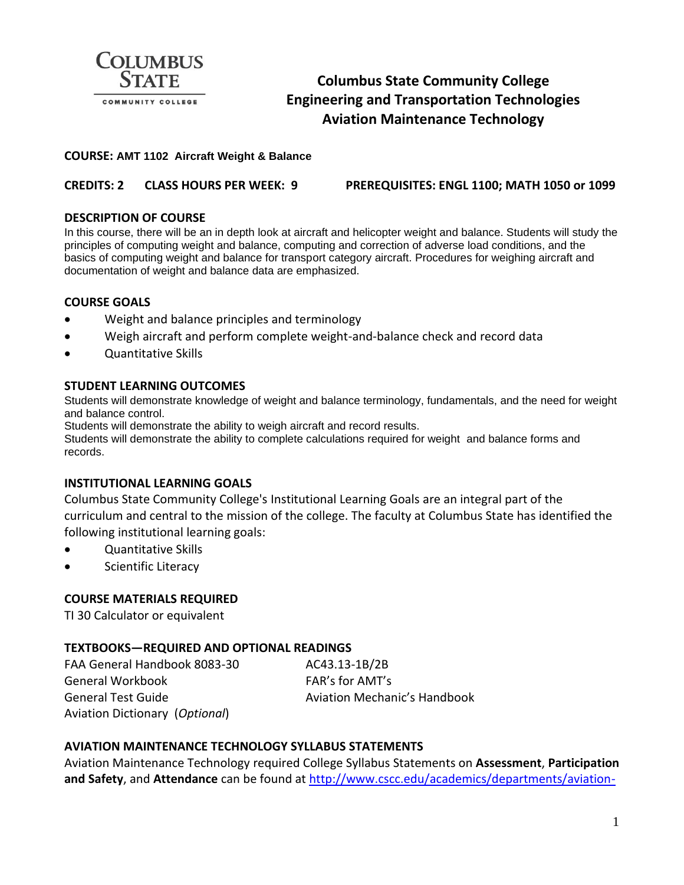

# **Columbus State Community College Engineering and Transportation Technologies Aviation Maintenance Technology**

#### **COURSE: AMT 1102 Aircraft Weight & Balance**

**CREDITS: 2 CLASS HOURS PER WEEK: 9 PREREQUISITES: ENGL 1100; MATH 1050 or 1099**

#### **DESCRIPTION OF COURSE**

In this course, there will be an in depth look at aircraft and helicopter weight and balance. Students will study the principles of computing weight and balance, computing and correction of adverse load conditions, and the basics of computing weight and balance for transport category aircraft. Procedures for weighing aircraft and documentation of weight and balance data are emphasized.

#### **COURSE GOALS**

- Weight and balance principles and terminology
- Weigh aircraft and perform complete weight-and-balance check and record data
- Quantitative Skills

#### **STUDENT LEARNING OUTCOMES**

Students will demonstrate knowledge of weight and balance terminology, fundamentals, and the need for weight and balance control.

Students will demonstrate the ability to weigh aircraft and record results.

Students will demonstrate the ability to complete calculations required for weight and balance forms and records.

### **INSTITUTIONAL LEARNING GOALS**

Columbus State Community College's Institutional Learning Goals are an integral part of the curriculum and central to the mission of the college. The faculty at Columbus State has identified the following institutional learning goals:

- Quantitative Skills
- Scientific Literacy

#### **COURSE MATERIALS REQUIRED**

TI 30 Calculator or equivalent

### **TEXTBOOKS—REQUIRED AND OPTIONAL READINGS**

FAA General Handbook 8083-30 AC43.13-1B/2B General Workbook FAR's for AMT's General Test Guide **Austice Automation Ceneral Test Guide** Aviation Mechanic's Handbook Aviation Dictionary (*Optional*)

### **AVIATION MAINTENANCE TECHNOLOGY SYLLABUS STATEMENTS**

Aviation Maintenance Technology required College Syllabus Statements on **Assessment**, **Participation and Safety**, and **Attendance** can be found a[t http://www.cscc.edu/academics/departments/aviation-](http://www.cscc.edu/academics/departments/aviation-maintenance/requirements.shtml)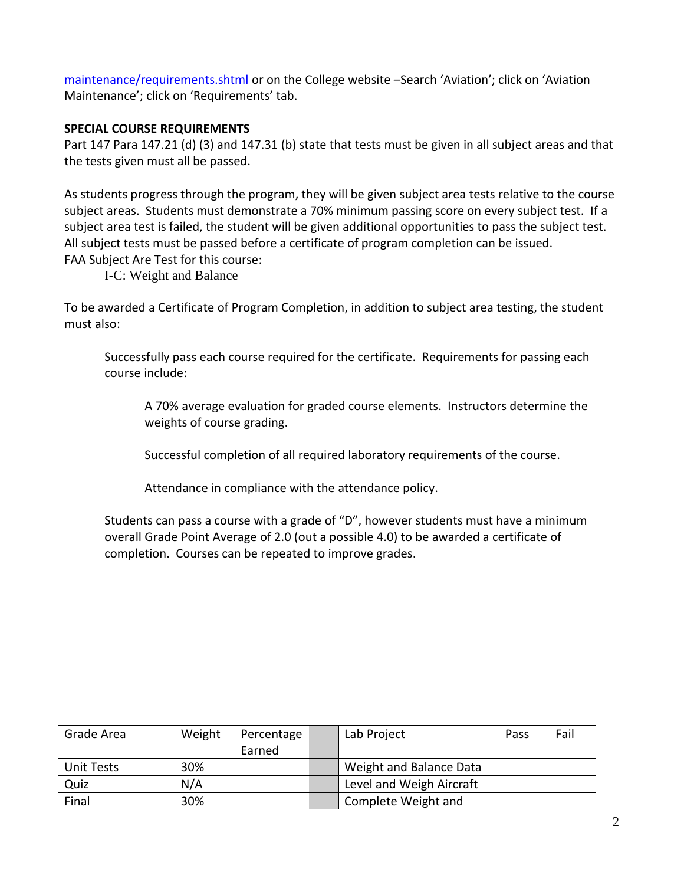[maintenance/requirements.shtml](http://www.cscc.edu/academics/departments/aviation-maintenance/requirements.shtml) or on the College website –Search 'Aviation'; click on 'Aviation Maintenance'; click on 'Requirements' tab.

# **SPECIAL COURSE REQUIREMENTS**

Part 147 Para 147.21 (d) (3) and 147.31 (b) state that tests must be given in all subject areas and that the tests given must all be passed.

As students progress through the program, they will be given subject area tests relative to the course subject areas. Students must demonstrate a 70% minimum passing score on every subject test. If a subject area test is failed, the student will be given additional opportunities to pass the subject test. All subject tests must be passed before a certificate of program completion can be issued. FAA Subject Are Test for this course:

I-C: Weight and Balance

To be awarded a Certificate of Program Completion, in addition to subject area testing, the student must also:

Successfully pass each course required for the certificate. Requirements for passing each course include:

A 70% average evaluation for graded course elements. Instructors determine the weights of course grading.

Successful completion of all required laboratory requirements of the course.

Attendance in compliance with the attendance policy.

Students can pass a course with a grade of "D", however students must have a minimum overall Grade Point Average of 2.0 (out a possible 4.0) to be awarded a certificate of completion. Courses can be repeated to improve grades.

| Grade Area | Weight | Percentage | Lab Project              | Pass | Fail |
|------------|--------|------------|--------------------------|------|------|
|            |        | Earned     |                          |      |      |
| Unit Tests | 30%    |            | Weight and Balance Data  |      |      |
| Quiz       | N/A    |            | Level and Weigh Aircraft |      |      |
| Final      | 30%    |            | Complete Weight and      |      |      |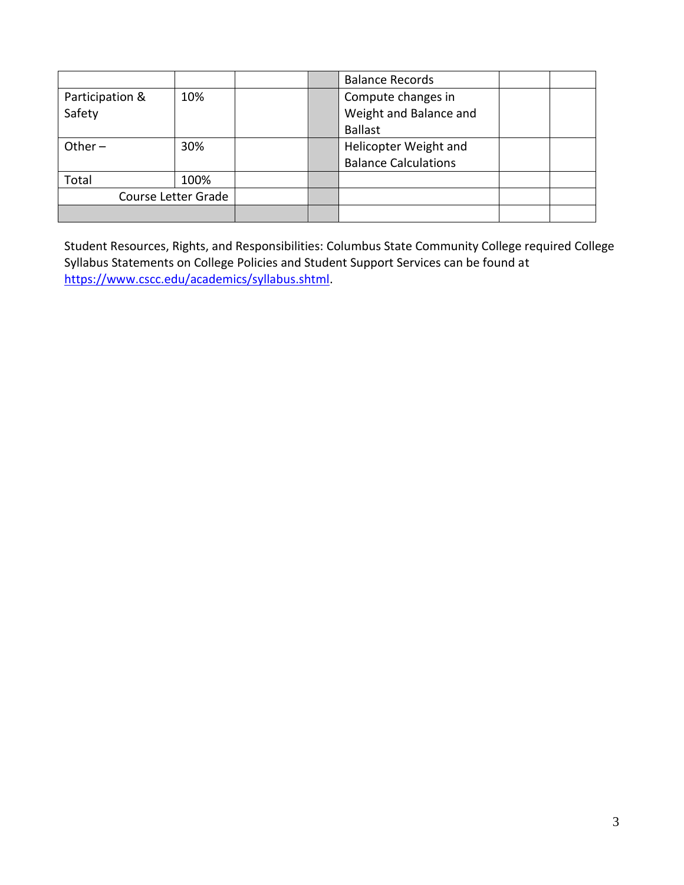|                     |      |  |  | <b>Balance Records</b>      |  |
|---------------------|------|--|--|-----------------------------|--|
| Participation &     | 10%  |  |  | Compute changes in          |  |
| Safety              |      |  |  | Weight and Balance and      |  |
|                     |      |  |  | <b>Ballast</b>              |  |
| Other $-$           | 30%  |  |  | Helicopter Weight and       |  |
|                     |      |  |  | <b>Balance Calculations</b> |  |
| Total               | 100% |  |  |                             |  |
| Course Letter Grade |      |  |  |                             |  |
|                     |      |  |  |                             |  |

Student Resources, Rights, and Responsibilities: Columbus State Community College required College Syllabus Statements on College Policies and Student Support Services can be found at [https://www.cscc.edu/academics/syllabus.shtml.](https://www.cscc.edu/academics/syllabus.shtml)